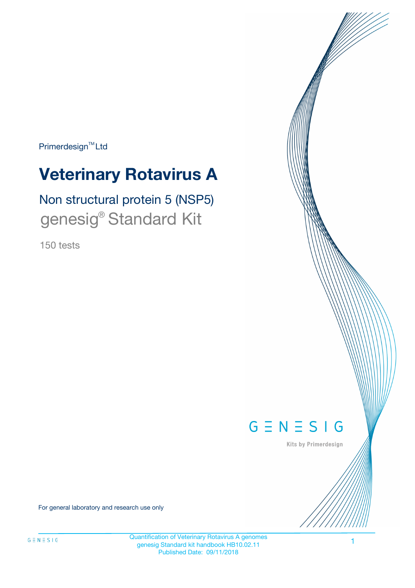Primerdesign<sup>™</sup>Ltd

# **Veterinary Rotavirus A**

# Non structural protein 5 (NSP5) genesig® Standard Kit

150 tests



Kits by Primerdesign

For general laboratory and research use only

Quantification of Veterinary Rotavirus A genomes genesig Standard kit handbook HB10.02.11 Published Date: 09/11/2018

1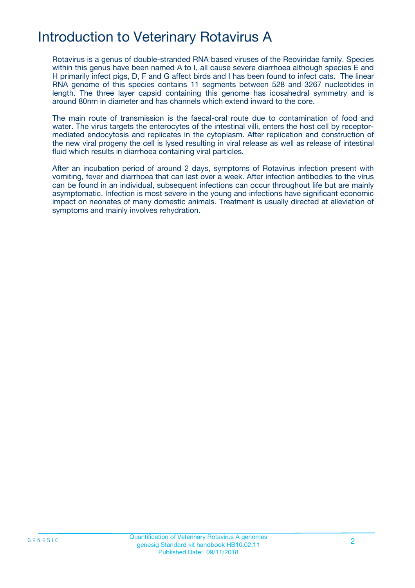# Introduction to Veterinary Rotavirus A

Rotavirus is a genus of double-stranded RNA based viruses of the Reoviridae family. Species within this genus have been named A to I, all cause severe diarrhoea although species E and H primarily infect pigs, D, F and G affect birds and I has been found to infect cats. The linear RNA genome of this species contains 11 segments between 528 and 3267 nucleotides in length. The three layer capsid containing this genome has icosahedral symmetry and is around 80nm in diameter and has channels which extend inward to the core.

The main route of transmission is the faecal-oral route due to contamination of food and water. The virus targets the enterocytes of the intestinal villi, enters the host cell by receptormediated endocytosis and replicates in the cytoplasm. After replication and construction of the new viral progeny the cell is lysed resulting in viral release as well as release of intestinal fluid which results in diarrhoea containing viral particles.

After an incubation period of around 2 days, symptoms of Rotavirus infection present with vomiting, fever and diarrhoea that can last over a week. After infection antibodies to the virus can be found in an individual, subsequent infections can occur throughout life but are mainly asymptomatic. Infection is most severe in the young and infections have significant economic impact on neonates of many domestic animals. Treatment is usually directed at alleviation of symptoms and mainly involves rehydration.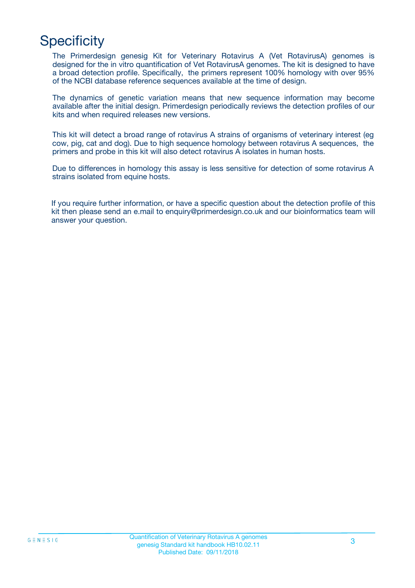# **Specificity**

The Primerdesign genesig Kit for Veterinary Rotavirus A (Vet RotavirusA) genomes is designed for the in vitro quantification of Vet RotavirusA genomes. The kit is designed to have a broad detection profile. Specifically, the primers represent 100% homology with over 95% of the NCBI database reference sequences available at the time of design.

The dynamics of genetic variation means that new sequence information may become available after the initial design. Primerdesign periodically reviews the detection profiles of our kits and when required releases new versions.

This kit will detect a broad range of rotavirus A strains of organisms of veterinary interest (eg cow, pig, cat and dog). Due to high sequence homology between rotavirus A sequences, the primers and probe in this kit will also detect rotavirus A isolates in human hosts.

Due to differences in homology this assay is less sensitive for detection of some rotavirus A strains isolated from equine hosts.

If you require further information, or have a specific question about the detection profile of this kit then please send an e.mail to enquiry@primerdesign.co.uk and our bioinformatics team will answer your question.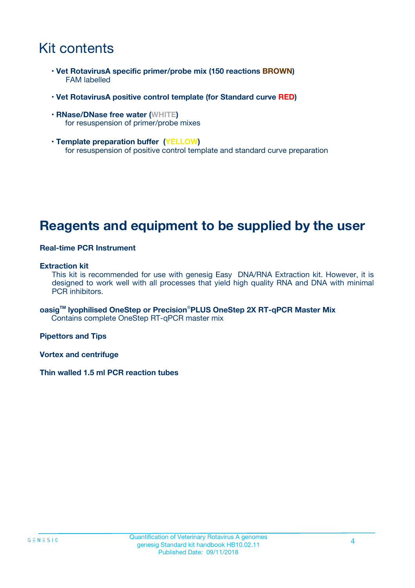# Kit contents

- **Vet RotavirusA specific primer/probe mix (150 reactions BROWN)** FAM labelled
- **Vet RotavirusA positive control template (for Standard curve RED)**
- **RNase/DNase free water (WHITE)** for resuspension of primer/probe mixes
- **Template preparation buffer (YELLOW)** for resuspension of positive control template and standard curve preparation

## **Reagents and equipment to be supplied by the user**

#### **Real-time PCR Instrument**

#### **Extraction kit**

This kit is recommended for use with genesig Easy DNA/RNA Extraction kit. However, it is designed to work well with all processes that yield high quality RNA and DNA with minimal PCR inhibitors.

**oasigTM lyophilised OneStep or Precision**®**PLUS OneStep 2X RT-qPCR Master Mix** Contains complete OneStep RT-qPCR master mix

**Pipettors and Tips**

**Vortex and centrifuge**

**Thin walled 1.5 ml PCR reaction tubes**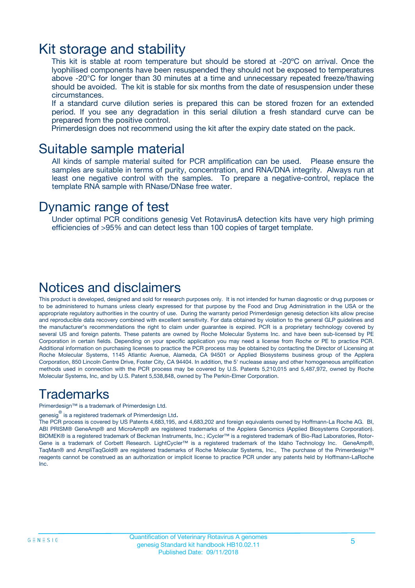### Kit storage and stability

This kit is stable at room temperature but should be stored at -20ºC on arrival. Once the lyophilised components have been resuspended they should not be exposed to temperatures above -20°C for longer than 30 minutes at a time and unnecessary repeated freeze/thawing should be avoided. The kit is stable for six months from the date of resuspension under these circumstances.

If a standard curve dilution series is prepared this can be stored frozen for an extended period. If you see any degradation in this serial dilution a fresh standard curve can be prepared from the positive control.

Primerdesign does not recommend using the kit after the expiry date stated on the pack.

### Suitable sample material

All kinds of sample material suited for PCR amplification can be used. Please ensure the samples are suitable in terms of purity, concentration, and RNA/DNA integrity. Always run at least one negative control with the samples. To prepare a negative-control, replace the template RNA sample with RNase/DNase free water.

### Dynamic range of test

Under optimal PCR conditions genesig Vet RotavirusA detection kits have very high priming efficiencies of >95% and can detect less than 100 copies of target template.

### Notices and disclaimers

This product is developed, designed and sold for research purposes only. It is not intended for human diagnostic or drug purposes or to be administered to humans unless clearly expressed for that purpose by the Food and Drug Administration in the USA or the appropriate regulatory authorities in the country of use. During the warranty period Primerdesign genesig detection kits allow precise and reproducible data recovery combined with excellent sensitivity. For data obtained by violation to the general GLP guidelines and the manufacturer's recommendations the right to claim under guarantee is expired. PCR is a proprietary technology covered by several US and foreign patents. These patents are owned by Roche Molecular Systems Inc. and have been sub-licensed by PE Corporation in certain fields. Depending on your specific application you may need a license from Roche or PE to practice PCR. Additional information on purchasing licenses to practice the PCR process may be obtained by contacting the Director of Licensing at Roche Molecular Systems, 1145 Atlantic Avenue, Alameda, CA 94501 or Applied Biosystems business group of the Applera Corporation, 850 Lincoln Centre Drive, Foster City, CA 94404. In addition, the 5' nuclease assay and other homogeneous amplification methods used in connection with the PCR process may be covered by U.S. Patents 5,210,015 and 5,487,972, owned by Roche Molecular Systems, Inc, and by U.S. Patent 5,538,848, owned by The Perkin-Elmer Corporation.

### Trademarks

Primerdesign™ is a trademark of Primerdesign Ltd.

genesig $^\circledR$  is a registered trademark of Primerdesign Ltd.

The PCR process is covered by US Patents 4,683,195, and 4,683,202 and foreign equivalents owned by Hoffmann-La Roche AG. BI, ABI PRISM® GeneAmp® and MicroAmp® are registered trademarks of the Applera Genomics (Applied Biosystems Corporation). BIOMEK® is a registered trademark of Beckman Instruments, Inc.; iCycler™ is a registered trademark of Bio-Rad Laboratories, Rotor-Gene is a trademark of Corbett Research. LightCycler™ is a registered trademark of the Idaho Technology Inc. GeneAmp®, TaqMan® and AmpliTaqGold® are registered trademarks of Roche Molecular Systems, Inc., The purchase of the Primerdesign™ reagents cannot be construed as an authorization or implicit license to practice PCR under any patents held by Hoffmann-LaRoche Inc.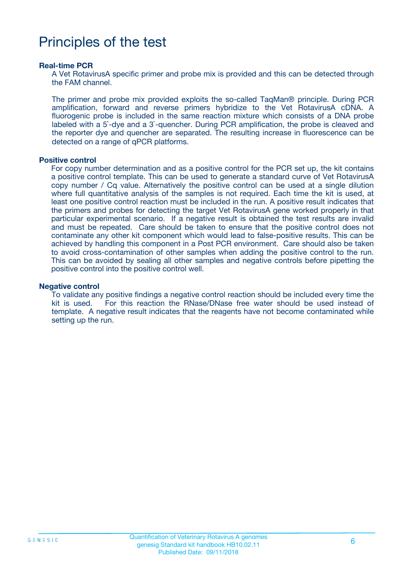# Principles of the test

#### **Real-time PCR**

A Vet RotavirusA specific primer and probe mix is provided and this can be detected through the FAM channel.

The primer and probe mix provided exploits the so-called TaqMan® principle. During PCR amplification, forward and reverse primers hybridize to the Vet RotavirusA cDNA. A fluorogenic probe is included in the same reaction mixture which consists of a DNA probe labeled with a 5`-dye and a 3`-quencher. During PCR amplification, the probe is cleaved and the reporter dye and quencher are separated. The resulting increase in fluorescence can be detected on a range of qPCR platforms.

#### **Positive control**

For copy number determination and as a positive control for the PCR set up, the kit contains a positive control template. This can be used to generate a standard curve of Vet RotavirusA copy number / Cq value. Alternatively the positive control can be used at a single dilution where full quantitative analysis of the samples is not required. Each time the kit is used, at least one positive control reaction must be included in the run. A positive result indicates that the primers and probes for detecting the target Vet RotavirusA gene worked properly in that particular experimental scenario. If a negative result is obtained the test results are invalid and must be repeated. Care should be taken to ensure that the positive control does not contaminate any other kit component which would lead to false-positive results. This can be achieved by handling this component in a Post PCR environment. Care should also be taken to avoid cross-contamination of other samples when adding the positive control to the run. This can be avoided by sealing all other samples and negative controls before pipetting the positive control into the positive control well.

#### **Negative control**

To validate any positive findings a negative control reaction should be included every time the kit is used. For this reaction the RNase/DNase free water should be used instead of template. A negative result indicates that the reagents have not become contaminated while setting up the run.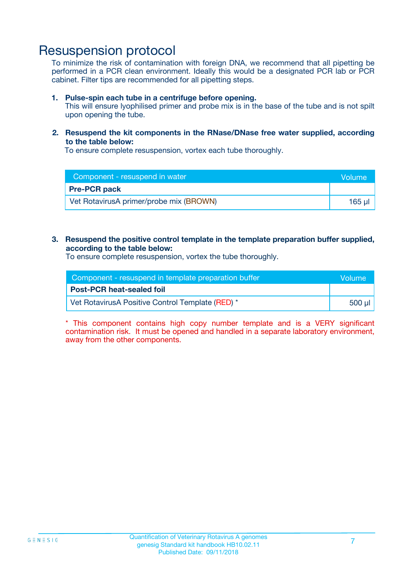### Resuspension protocol

To minimize the risk of contamination with foreign DNA, we recommend that all pipetting be performed in a PCR clean environment. Ideally this would be a designated PCR lab or PCR cabinet. Filter tips are recommended for all pipetting steps.

#### **1. Pulse-spin each tube in a centrifuge before opening.**

This will ensure lyophilised primer and probe mix is in the base of the tube and is not spilt upon opening the tube.

#### **2. Resuspend the kit components in the RNase/DNase free water supplied, according to the table below:**

To ensure complete resuspension, vortex each tube thoroughly.

| Component - resuspend in water          | <b>Volume</b> |
|-----------------------------------------|---------------|
| <b>Pre-PCR pack</b>                     |               |
| Vet RotavirusA primer/probe mix (BROWN) | 165 ul        |

#### **3. Resuspend the positive control template in the template preparation buffer supplied, according to the table below:**

To ensure complete resuspension, vortex the tube thoroughly.

| Component - resuspend in template preparation buffer |         |  |
|------------------------------------------------------|---------|--|
| <b>Post-PCR heat-sealed foil</b>                     |         |  |
| Vet RotavirusA Positive Control Template (RED) *     | .500 µl |  |

\* This component contains high copy number template and is a VERY significant contamination risk. It must be opened and handled in a separate laboratory environment, away from the other components.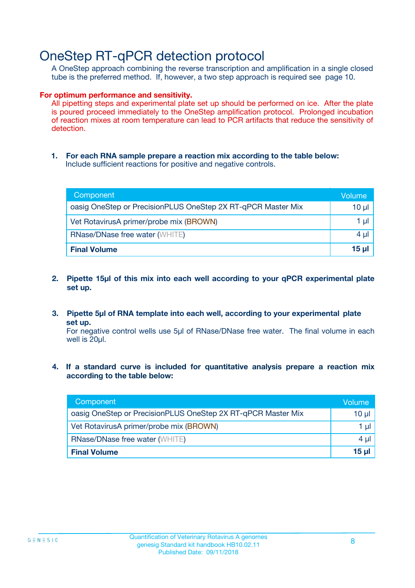## OneStep RT-qPCR detection protocol

A OneStep approach combining the reverse transcription and amplification in a single closed tube is the preferred method. If, however, a two step approach is required see page 10.

#### **For optimum performance and sensitivity.**

All pipetting steps and experimental plate set up should be performed on ice. After the plate is poured proceed immediately to the OneStep amplification protocol. Prolonged incubation of reaction mixes at room temperature can lead to PCR artifacts that reduce the sensitivity of detection.

**1. For each RNA sample prepare a reaction mix according to the table below:** Include sufficient reactions for positive and negative controls.

| Component                                                    | Volume       |
|--------------------------------------------------------------|--------------|
| oasig OneStep or PrecisionPLUS OneStep 2X RT-qPCR Master Mix | $10 \mu$     |
| Vet RotavirusA primer/probe mix (BROWN)                      | 1 µI         |
| <b>RNase/DNase free water (WHITE)</b>                        | $4 \mu$      |
| <b>Final Volume</b>                                          | <u>15 µl</u> |

- **2. Pipette 15µl of this mix into each well according to your qPCR experimental plate set up.**
- **3. Pipette 5µl of RNA template into each well, according to your experimental plate set up.**

For negative control wells use 5µl of RNase/DNase free water. The final volume in each well is 20ul.

**4. If a standard curve is included for quantitative analysis prepare a reaction mix according to the table below:**

| Component                                                    | Volume          |
|--------------------------------------------------------------|-----------------|
| oasig OneStep or PrecisionPLUS OneStep 2X RT-qPCR Master Mix | 10 µl           |
| Vet RotavirusA primer/probe mix (BROWN)                      | 1 µI            |
| <b>RNase/DNase free water (WHITE)</b>                        | $4 \mu$         |
| <b>Final Volume</b>                                          | 15 <sub>µ</sub> |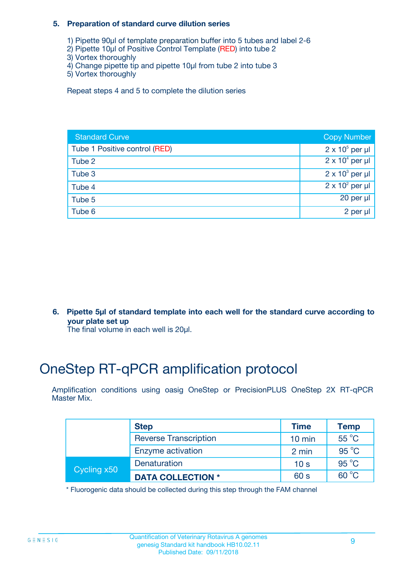#### **5. Preparation of standard curve dilution series**

- 1) Pipette 90µl of template preparation buffer into 5 tubes and label 2-6
- 2) Pipette 10µl of Positive Control Template (RED) into tube 2
- 3) Vortex thoroughly
- 4) Change pipette tip and pipette 10µl from tube 2 into tube 3
- 5) Vortex thoroughly

Repeat steps 4 and 5 to complete the dilution series

| <b>Standard Curve</b>         | <b>Copy Number</b>     |
|-------------------------------|------------------------|
| Tube 1 Positive control (RED) | $2 \times 10^5$ per µl |
| Tube 2                        | $2 \times 10^4$ per µl |
| Tube 3                        | $2 \times 10^3$ per µl |
| Tube 4                        | $2 \times 10^2$ per µl |
| Tube 5                        | 20 per $\mu$           |
| Tube 6                        | 2 per µl               |

**6. Pipette 5µl of standard template into each well for the standard curve according to your plate set up**

The final volume in each well is 20ul.

# OneStep RT-qPCR amplification protocol

Amplification conditions using oasig OneStep or PrecisionPLUS OneStep 2X RT-qPCR Master Mix.

|             | <b>Step</b>                  | <b>Time</b>      | <b>Temp</b>    |
|-------------|------------------------------|------------------|----------------|
|             | <b>Reverse Transcription</b> | $10 \text{ min}$ | $55^{\circ}$ C |
|             | Enzyme activation            | 2 min            | $95^{\circ}$ C |
| Cycling x50 | Denaturation                 | 10 <sub>s</sub>  | $95^{\circ}$ C |
|             | <b>DATA COLLECTION *</b>     | 60 s             | $60^{\circ}$ C |

\* Fluorogenic data should be collected during this step through the FAM channel